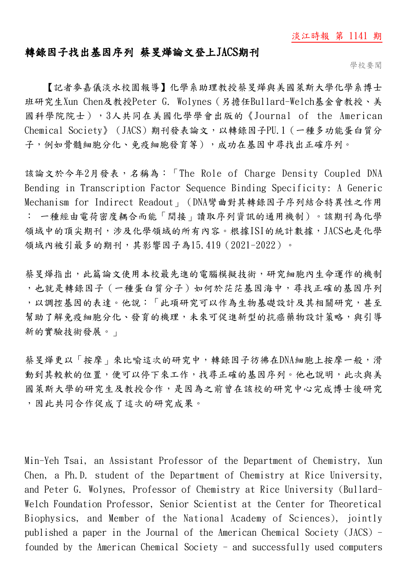## 淡江時報 第 1141 期

## 轉錄因子找出基因序列 蔡旻燁論文登上JACS期刊

學校要聞

【記者麥嘉儀淡水校園報導】化學系助理教授蔡旻燁與美國萊斯大學化學系博士 班研究生Xun Chen及教授Peter G. Wolynes(另擔任Bullard-Welch基金會教授、美 國科學院院士),3人共同在美國化學學會出版的《Journal of the American Chemical Society》(JACS)期刊發表論文,以轉錄因子PU.1(一種多功能蛋白質分 子,例如骨髓細胞分化、免疫細胞發育等),成功在基因中尋找出正確序列。

該論文於今年2月發表,名稱為:「The Role of Charge Density Coupled DNA Bending in Transcription Factor Sequence Binding Specificity: A Generic Mechanism for Indirect Readout」(DNA彎曲對其轉錄因子序列結合特異性之作用 : 一種經由電荷密度耦合而能「間接」讀取序列資訊的通用機制)。該期刊為化學 領域中的頂尖期刊,涉及化學領域的所有內容。根據ISI的統計數據,JACS也是化學 領域內被引最多的期刊,其影響因子為15.419(2021-2022)。

蔡旻燁指出,此篇論文使用本校最先進的電腦模擬技術,研究細胞內生命運作的機制 ,也就是轉錄因子(一種蛋白質分子)如何於茫茫基因海中,尋找正確的基因序列 ,以調控基因的表達。他說:「此項研究可以作為生物基礎設計及其相關研究,甚至 幫助了解免疫細胞分化、發育的機理,未來可促進新型的抗癌藥物設計策略,與引導 新的實驗技術發展。」

蔡旻燁更以「按摩」來比喻這次的研究中,轉錄因子彷彿在DNA細胞上按摩一般,滑 動到其較軟的位置,便可以停下來工作,找尋正確的基因序列。他也說明,此次與美 國萊斯大學的研究生及教授合作,是因為之前曾在該校的研究中心完成博士後研究 ,因此共同合作促成了這次的研究成果。

Min-Yeh Tsai, an Assistant Professor of the Department of Chemistry, Xun Chen, a Ph.D. student of the Department of Chemistry at Rice University, and Peter G. Wolynes, Professor of Chemistry at Rice University (Bullard-Welch Foundation Professor, Senior Scientist at the Center for Theoretical Biophysics, and Member of the National Academy of Sciences), jointly published a paper in the Journal of the American Chemical Society (JACS) founded by the American Chemical Society - and successfully used computers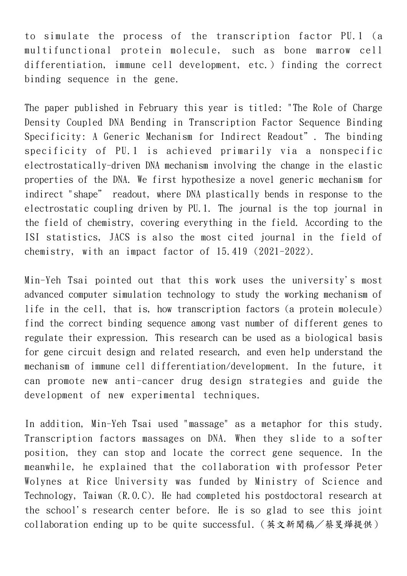to simulate the process of the transcription factor PU.1 (a multifunctional protein molecule, such as bone marrow cell differentiation, immune cell development, etc.) finding the correct binding sequence in the gene.

The paper published in February this year is titled: "The Role of Charge Density Coupled DNA Bending in Transcription Factor Sequence Binding Specificity: A Generic Mechanism for Indirect Readout". The binding specificity of PU.1 is achieved primarily via a nonspecific electrostatically-driven DNA mechanism involving the change in the elastic properties of the DNA. We first hypothesize a novel generic mechanism for indirect "shape" readout, where DNA plastically bends in response to the electrostatic coupling driven by PU.1. The journal is the top journal in the field of chemistry, covering everything in the field. According to the ISI statistics, JACS is also the most cited journal in the field of chemistry, with an impact factor of 15.419 (2021-2022).

Min-Yeh Tsai pointed out that this work uses the university's most advanced computer simulation technology to study the working mechanism of life in the cell, that is, how transcription factors (a protein molecule) find the correct binding sequence among vast number of different genes to regulate their expression. This research can be used as a biological basis for gene circuit design and related research, and even help understand the mechanism of immune cell differentiation/development. In the future, it can promote new anti-cancer drug design strategies and guide the development of new experimental techniques.

In addition, Min-Yeh Tsai used "massage" as a metaphor for this study. Transcription factors massages on DNA. When they slide to a softer position, they can stop and locate the correct gene sequence. In the meanwhile, he explained that the collaboration with professor Peter Wolynes at Rice University was funded by Ministry of Science and Technology, Taiwan (R.O.C). He had completed his postdoctoral research at the school's research center before. He is so glad to see this joint collaboration ending up to be quite successful.(英文新聞稿/蔡旻燁提供)